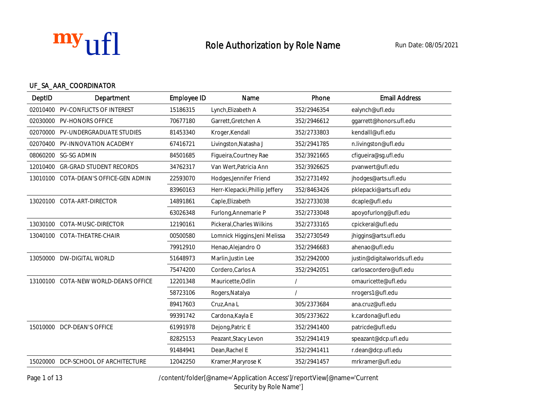

## UF\_SA\_AAR\_COORDINATOR

| DeptID   | <b>Department</b>                   | <b>Employee ID</b> | Name                           | Phone       | <b>Email Address</b>         |
|----------|-------------------------------------|--------------------|--------------------------------|-------------|------------------------------|
| 02010400 | <b>PV-CONFLICTS OF INTEREST</b>     | 15186315           | Lynch, Elizabeth A             | 352/2946354 | ealynch@ufl.edu              |
| 02030000 | <b>PV-HONORS OFFICE</b>             | 70677180           | Garrett, Gretchen A            | 352/2946612 | ggarrett@honors.ufl.edu      |
| 02070000 | <b>PV-UNDERGRADUATE STUDIES</b>     | 81453340           | Kroger, Kendall                | 352/2733803 | kendalll@ufl.edu             |
| 02070400 | <b>PV-INNOVATION ACADEMY</b>        | 67416721           | Livingston, Natasha J          | 352/2941785 | n.livingston@ufl.edu         |
| 08060200 | <b>SG-SG ADMIN</b>                  | 84501685           | Figueira, Courtney Rae         | 352/3921665 | cfigueira@sg.ufl.edu         |
| 12010400 | <b>GR-GRAD STUDENT RECORDS</b>      | 34762317           | Van Wert, Patricia Ann         | 352/3926625 | pvanwert@ufl.edu             |
| 13010100 | <b>COTA-DEAN'S OFFICE-GEN ADMIN</b> | 22593070           | Hodges, Jennifer Friend        | 352/2731492 | jhodges@arts.ufl.edu         |
|          |                                     | 83960163           | Herr-Klepacki, Phillip Jeffery | 352/8463426 | pklepacki@arts.ufl.edu       |
| 13020100 | <b>COTA-ART-DIRECTOR</b>            | 14891861           | Caple, Elizabeth               | 352/2733038 | dcaple@ufl.edu               |
|          |                                     | 63026348           | Furlong, Annemarie P           | 352/2733048 | apoyofurlong@ufl.edu         |
| 13030100 | <b>COTA-MUSIC-DIRECTOR</b>          | 12190161           | Pickeral, Charles Wilkins      | 352/2733165 | cpickeral@ufl.edu            |
| 13040100 | <b>COTA-THEATRE-CHAIR</b>           | 00500580           | Lomnick Higgins, Jeni Melissa  | 352/2730549 | jhiggins@arts.ufl.edu        |
|          |                                     | 79912910           | Henao, Alejandro O             | 352/2946683 | ahenao@ufl.edu               |
|          | 13050000 DW-DIGITAL WORLD           | 51648973           | Marlin, Justin Lee             | 352/2942000 | justin@digitalworlds.ufl.edu |
|          |                                     | 75474200           | Cordero, Carlos A              | 352/2942051 | carlosacordero@ufl.edu       |
| 13100100 | <b>COTA-NEW WORLD-DEANS OFFICE</b>  | 12201348           | Mauricette, Odlin              |             | omauricette@ufl.edu          |
|          |                                     | 58723106           | Rogers, Natalya                |             | nrogers1@ufl.edu             |
|          |                                     | 89417603           | Cruz, Ana L                    | 305/2373684 | ana.cruz@ufl.edu             |
|          |                                     | 99391742           | Cardona, Kayla E               | 305/2373622 | k.cardona@ufl.edu            |
| 15010000 | <b>DCP-DEAN'S OFFICE</b>            | 61991978           | Dejong, Patric E               | 352/2941400 | patricde@ufl.edu             |
|          |                                     | 82825153           | Peazant, Stacy Levon           | 352/2941419 | speazant@dcp.ufl.edu         |
|          |                                     | 91484941           | Dean, Rachel E                 | 352/2941411 | r.dean@dcp.ufl.edu           |
|          | 15020000 DCP-SCHOOL OF ARCHITECTURE | 12042250           | Kramer, Maryrose K             | 352/2941457 | mrkramer@ufl.edu             |

Page 1 of 13 /content/folder[@name='Application Access']/reportView[@name='Current

Security by Role Name']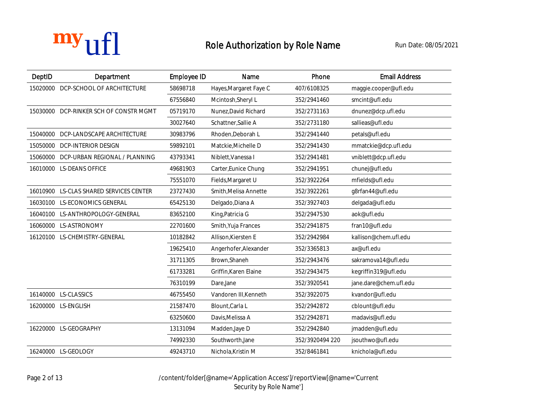| DeptID   | <b>Department</b>                       | <b>Employee ID</b> | Name                   | Phone           | <b>Email Address</b>   |
|----------|-----------------------------------------|--------------------|------------------------|-----------------|------------------------|
| 15020000 | DCP-SCHOOL OF ARCHITECTURE              | 58698718           | Hayes, Margaret Faye C | 407/6108325     | maggie.cooper@ufl.edu  |
|          |                                         | 67556840           | Mcintosh, Sheryl L     | 352/2941460     | smcint@ufl.edu         |
|          | 15030000 DCP-RINKER SCH OF CONSTR MGMT  | 05719170           | Nunez, David Richard   | 352/2731163     | dnunez@dcp.ufl.edu     |
|          |                                         | 30027640           | Schattner, Sallie A    | 352/2731180     | sallieas@ufl.edu       |
| 15040000 | <b>DCP-LANDSCAPE ARCHITECTURE</b>       | 30983796           | Rhoden, Deborah L      | 352/2941440     | petals@ufl.edu         |
| 15050000 | <b>DCP-INTERIOR DESIGN</b>              | 59892101           | Matckie, Michelle D    | 352/2941430     | mmatckie@dcp.ufl.edu   |
| 15060000 | <b>DCP-URBAN REGIONAL / PLANNING</b>    | 43793341           | Niblett, Vanessa I     | 352/2941481     | vniblett@dcp.ufl.edu   |
|          | 16010000 LS-DEANS OFFICE                | 49681903           | Carter, Eunice Chung   | 352/2941951     | chunej@ufl.edu         |
|          |                                         | 75551070           | Fields, Margaret U     | 352/3922264     | mfields@ufl.edu        |
|          | 16010900 LS-CLAS SHARED SERVICES CENTER | 23727430           | Smith, Melisa Annette  | 352/3922261     | g8rfan44@ufl.edu       |
| 16030100 | <b>LS-ECONOMICS GENERAL</b>             | 65425130           | Delgado, Diana A       | 352/3927403     | delgada@ufl.edu        |
|          | 16040100 LS-ANTHROPOLOGY-GENERAL        | 83652100           | King, Patricia G       | 352/2947530     | aok@ufl.edu            |
| 16060000 | <b>LS-ASTRONOMY</b>                     | 22701600           | Smith, Yuja Frances    | 352/2941875     | fran10@ufl.edu         |
|          | 16120100 LS-CHEMISTRY-GENERAL           | 10182842           | Allison, Kiersten E    | 352/2942984     | kallison@chem.ufl.edu  |
|          |                                         | 19625410           | Angerhofer, Alexander  | 352/3365813     | ax@ufl.edu             |
|          |                                         | 31711305           | Brown, Shaneh          | 352/2943476     | sakramova14@ufl.edu    |
|          |                                         | 61733281           | Griffin, Karen Elaine  | 352/2943475     | kegriffin319@ufl.edu   |
|          |                                         | 76310199           | Dare, Jane             | 352/3920541     | jane.dare@chem.ufl.edu |
|          | 16140000 LS-CLASSICS                    | 46755450           | Vandoren III, Kenneth  | 352/3922075     | kvandor@ufl.edu        |
|          | 16200000 LS-ENGLISH                     | 21587470           | Blount, Carla L        | 352/2942872     | cblount@ufl.edu        |
|          |                                         | 63250600           | Davis, Melissa A       | 352/2942871     | madavis@ufl.edu        |
|          | 16220000 LS-GEOGRAPHY                   | 13131094           | Madden, Jaye D         | 352/2942840     | jmadden@ufl.edu        |
|          |                                         | 74992330           | Southworth, Jane       | 352/3920494 220 | jsouthwo@ufl.edu       |
|          | 16240000 LS-GEOLOGY                     | 49243710           | Nichola. Kristin M     | 352/8461841     | knichola@ufl.edu       |

Page 2 of 13 /content/folder[@name='Application Access']/reportView[@name='Current Security by Role Name']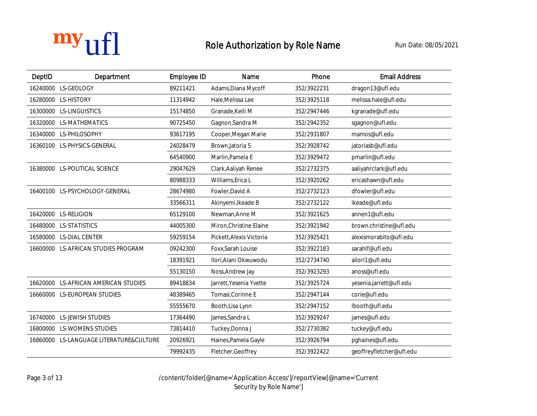

| DeptID   | <b>Department</b>                    | <b>Employee ID</b> | <b>Name</b>              | Phone       | <b>Email Address</b>     |
|----------|--------------------------------------|--------------------|--------------------------|-------------|--------------------------|
|          | 16240000 LS-GEOLOGY                  | 89211421           | Adams, Diana Mycoff      | 352/3922231 | dragon13@ufl.edu         |
|          | 16280000 LS-HISTORY                  | 11314942           | Hale, Melissa Lee        | 352/3925118 | melissa.hale@ufl.edu     |
|          | 16300000 LS-LINGUISTICS              | 15174850           | Granade, Kelli M         | 352/2947446 | kgranade@ufl.edu         |
|          | 16320000 LS-MATHEMATICS              | 90725450           | Gagnon, Sandra M         | 352/2942352 | sgagnon@ufl.edu          |
|          | 16340000 LS-PHILOSOPHY               | 93617195           | Cooper, Megan Marie      | 352/2931807 | mamos@ufl.edu            |
|          | 16360100 LS-PHYSICS-GENERAL          | 24028479           | Brown, Jatoria S         | 352/3928742 | jatoriasb@ufl.edu        |
|          |                                      | 64540900           | Marlin, Pamela E         | 352/3929472 | pmarlin@ufl.edu          |
|          | 16380000 LS-POLITICAL SCIENCE        | 29047629           | Clark, Aaliyah Renee     | 352/2732375 | aaliyahrclark@ufl.edu    |
|          |                                      | 80988333           | Williams, Erica L        | 352/3920262 | ericashawn@ufl.edu       |
|          | 16400100 LS-PSYCHOLOGY-GENERAL       | 28674980           | Fowler, David A          | 352/2732123 | dfowler@ufl.edu          |
|          |                                      | 33566311           | Akinyemi, Ikeade B       | 352/2732122 | ikeade@ufl.edu           |
|          | 16420000 LS-RELIGION                 | 65129100           | Newman, Anne M           | 352/3921625 | annen1@ufl.edu           |
|          | 16480000 LS-STATISTICS               | 44005300           | Miron, Christine Elaine  | 352/3921942 | brown.christine@ufl.edu  |
|          | 16580000 LS-DIAL CENTER              | 59259154           | Pickett, Alexis Victoria | 352/3925421 | alexismorabito@ufl.edu   |
|          | 16600000 LS-AFRICAN STUDIES PROGRAM  | 09242300           | Foxx, Sarah Louise       | 352/3922183 | sarahlf@ufl.edu          |
|          |                                      | 18391921           | Ilori, Alani Okwuwodu    | 352/2734740 | ailori1@ufl.edu          |
|          |                                      | 55130150           | Noss, Andrew Jay         | 352/3923293 | anoss@ufl.edu            |
|          | 16620000 LS-AFRICAN AMERICAN STUDIES | 89418834           | Jarrett, Yesenia Yvette  | 352/3925724 | yesenia.jarrett@ufl.edu  |
|          | 16660000 LS-EUROPEAN STUDIES         | 48389465           | Tomasi, Corinne E        | 352/2947144 | corie@ufl.edu            |
|          |                                      | 55555670           | Booth, Lisa Lynn         | 352/2947152 | lbooth@ufl.edu           |
| 16740000 | <b>LS-JEWISH STUDIES</b>             | 17364490           | James, Sandra L          | 352/3929247 | james@ufl.edu            |
| 16800000 | <b>LS-WOMENS STUDIES</b>             | 73814410           | Tuckey, Donna J          | 352/2730382 | tuckey@ufl.edu           |
| 16860000 | LS-LANGUAGE LITERATURE&CULTURE       | 20926921           | Haines, Pamela Gayle     | 352/3926794 | pghaines@ufl.edu         |
|          |                                      | 79992435           | Fletcher, Geoffrey       | 352/3922422 | geoffreyfletcher@ufl.edu |

Page 3 of 13 /content/folder[@name='Application Access']/reportView[@name='Current Security by Role Name<sup>'</sup>]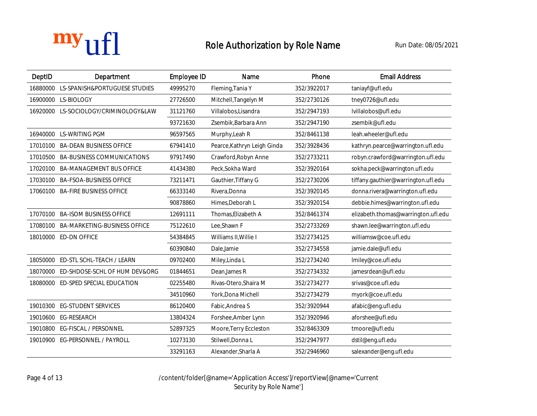

| DeptID   | <b>Department</b>                      | <b>Employee ID</b> | <b>Name</b>                 | Phone       | <b>Email Address</b>                |
|----------|----------------------------------------|--------------------|-----------------------------|-------------|-------------------------------------|
|          | 16880000 LS-SPANISH&PORTUGUESE STUDIES | 49995270           | Fleming, Tania Y            | 352/3922017 | taniayf@ufl.edu                     |
|          | 16900000 LS-BIOLOGY                    | 27726500           | Mitchell, Tangelyn M        | 352/2730126 | tney0726@ufl.edu                    |
|          | 16920000 LS-SOCIOLOGY/CRIMINOLOGY&LAW  | 31121760           | Villalobos, Lisandra        | 352/2947193 | lvillalobos@ufl.edu                 |
|          |                                        | 93721630           | Zsembik, Barbara Ann        | 352/2947190 | zsembik@ufl.edu                     |
|          | 16940000 LS-WRITING PGM                | 96597565           | Murphy, Leah R              | 352/8461138 | leah.wheeler@ufl.edu                |
|          | 17010100 BA-DEAN BUSINESS OFFICE       | 67941410           | Pearce, Kathryn Leigh Ginda | 352/3928436 | kathryn.pearce@warrington.ufl.edu   |
|          | 17010500 BA-BUSINESS COMMUNICATIONS    | 97917490           | Crawford, Robyn Anne        | 352/2733211 | robyn.crawford@warrington.ufl.edu   |
|          | 17020100 BA-MANAGEMENT BUS OFFICE      | 41434380           | Peck, Sokha Ward            | 352/3920164 | sokha.peck@warrington.ufl.edu       |
| 17030100 | <b>BA-FSOA-BUSINESS OFFICE</b>         | 73211471           | Gauthier, Tiffany G         | 352/2730206 | tiffany.gauthier@warrington.ufl.edu |
|          | 17060100 BA-FIRE BUSINESS OFFICE       | 66333140           | Rivera, Donna               | 352/3920145 | donna.rivera@warrington.ufl.edu     |
|          |                                        | 90878860           | Himes, Deborah L            | 352/3920154 | debbie.himes@warrington.ufl.edu     |
|          | 17070100 BA-ISOM BUSINESS OFFICE       | 12691111           | Thomas, Elizabeth A         | 352/8461374 | elizabeth.thomas@warrington.ufl.edu |
| 17080100 | <b>BA-MARKETING-BUSINESS OFFICE</b>    | 75122610           | Lee, Shawn F                | 352/2733269 | shawn.lee@warrington.ufl.edu        |
|          | 18010000 ED-DN OFFICE                  | 54384845           | Williams II, Willie I       | 352/2734125 | williamsw@coe.ufl.edu               |
|          |                                        | 60390840           | Dale, Jamie                 | 352/2734558 | jamie.dale@ufl.edu                  |
| 18050000 | ED-STL SCHL-TEACH / LEARN              | 09702400           | Miley, Linda L              | 352/2734240 | lmiley@coe.ufl.edu                  |
| 18070000 | ED-SHDOSE-SCHL OF HUM DEV&ORG          | 01844651           | Dean, James R               | 352/2734332 | jamesrdean@ufl.edu                  |
| 18080000 | ED-SPED SPECIAL EDUCATION              | 02255480           | Rivas-Otero, Shaira M       | 352/2734277 | srivas@coe.ufl.edu                  |
|          |                                        | 34510960           | York, Dona Michell          | 352/2734279 | myork@coe.ufl.edu                   |
| 19010300 | <b>EG-STUDENT SERVICES</b>             | 86120400           | Fabic, Andrea S             | 352/3920944 | afabic@eng.ufl.edu                  |
| 19010600 | <b>EG-RESEARCH</b>                     | 13804324           | Forshee, Amber Lynn         | 352/3920946 | aforshee@ufl.edu                    |
| 19010800 | <b>EG-FISCAL / PERSONNEL</b>           | 52897325           | Moore, Terry Eccleston      | 352/8463309 | tmoore@ufl.edu                      |
| 19010900 | <b>EG-PERSONNEL / PAYROLL</b>          | 10273130           | Stilwell, Donna L           | 352/2947977 | dstil@eng.ufl.edu                   |
|          |                                        | 33291163           | Alexander, Sharla A         | 352/2946960 | salexander@eng.ufl.edu              |

Page 4 of 13 /content/folder[@name='Application Access']/reportView[@name='Current Security by Role Name<sup>'</sup>]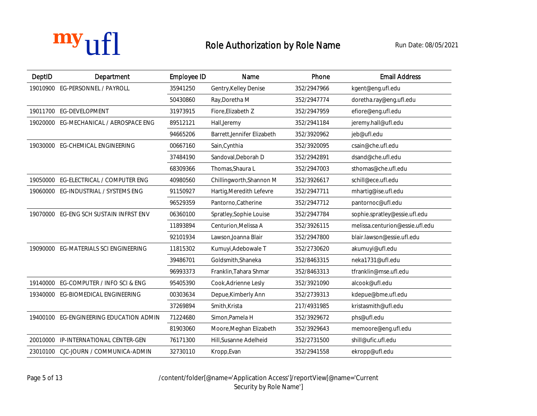| DeptID   | <b>Department</b>                     | <b>Employee ID</b> | <b>Name</b>                 | Phone       | <b>Email Address</b>            |
|----------|---------------------------------------|--------------------|-----------------------------|-------------|---------------------------------|
| 19010900 | EG-PERSONNEL / PAYROLL                | 35941250           | Gentry, Kelley Denise       | 352/2947966 | kgent@eng.ufl.edu               |
|          |                                       | 50430860           | Ray, Doretha M              | 352/2947774 | doretha.ray@eng.ufl.edu         |
| 19011700 | <b>EG-DEVELOPMENT</b>                 | 31973915           | Fiore, Elizabeth Z          | 352/2947959 | efiore@eng.ufl.edu              |
| 19020000 | EG-MECHANICAL / AEROSPACE ENG         | 89512121           | Hall, Jeremy                | 352/2941184 | jeremy.hall@ufl.edu             |
|          |                                       | 94665206           | Barrett, Jennifer Elizabeth | 352/3920962 | jeb@ufl.edu                     |
| 19030000 | <b>EG-CHEMICAL ENGINEERING</b>        | 00667160           | Sain, Cynthia               | 352/3920095 | csain@che.ufl.edu               |
|          |                                       | 37484190           | Sandoval, Deborah D         | 352/2942891 | dsand@che.ufl.edu               |
|          |                                       | 68309366           | Thomas, Shaura L            | 352/2947003 | sthomas@che.ufl.edu             |
| 19050000 | EG-ELECTRICAL / COMPUTER ENG          | 40980560           | Chillingworth, Shannon M    | 352/3926617 | schill@ece.ufl.edu              |
| 19060000 | EG-INDUSTRIAL / SYSTEMS ENG           | 91150927           | Hartig, Meredith Lefevre    | 352/2947711 | mhartig@ise.ufl.edu             |
|          |                                       | 96529359           | Pantorno, Catherine         | 352/2947712 | pantornoc@ufl.edu               |
| 19070000 | EG-ENG SCH SUSTAIN INFRST ENV         | 06360100           | Spratley, Sophie Louise     | 352/2947784 | sophie.spratley@essie.ufl.edu   |
|          |                                       | 11893894           | Centurion, Melissa A        | 352/3926115 | melissa.centurion@essie.ufl.edu |
|          |                                       | 92101934           | Lawson, Joanna Blair        | 352/2947800 | blair.lawson@essie.ufl.edu      |
| 19090000 | <b>EG-MATERIALS SCI ENGINEERING</b>   | 11815302           | Kumuyi, Adebowale T         | 352/2730620 | akumuyi@ufl.edu                 |
|          |                                       | 39486701           | Goldsmith, Shaneka          | 352/8463315 | neka1731@ufl.edu                |
|          |                                       | 96993373           | Franklin, Tahara Shmar      | 352/8463313 | tfranklin@mse.ufl.edu           |
| 19140000 | EG-COMPUTER / INFO SCI & ENG          | 95405390           | Cook, Adrienne Lesly        | 352/3921090 | alcook@ufl.edu                  |
| 19340000 | EG-BIOMEDICAL ENGINEERING             | 00303634           | Depue, Kimberly Ann         | 352/2739313 | kdepue@bme.ufl.edu              |
|          |                                       | 37269894           | Smith, Krista               | 217/4931985 | kristasmith@ufl.edu             |
| 19400100 | <b>EG-ENGINEERING EDUCATION ADMIN</b> | 71224680           | Simon, Pamela H             | 352/3929672 | phs@ufl.edu                     |
|          |                                       | 81903060           | Moore, Meghan Elizabeth     | 352/3929643 | memoore@eng.ufl.edu             |
| 20010000 | IP-INTERNATIONAL CENTER-GEN           | 76171300           | Hill, Susanne Adelheid      | 352/2731500 | shill@ufic.ufl.edu              |
|          | 23010100 CJC-JOURN / COMMUNICA-ADMIN  | 32730110           | Kropp, Evan                 | 352/2941558 | ekropp@ufl.edu                  |

Page 5 of 13 /content/folder[@name='Application Access']/reportView[@name='Current Security by Role Name']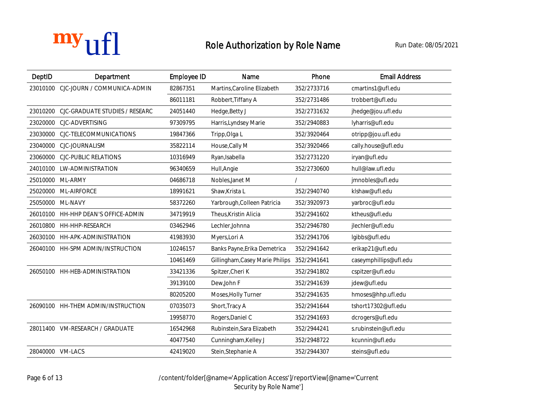| DeptID           | <b>Department</b>                     | <b>Employee ID</b> | <b>Name</b>                     | Phone       | <b>Email Address</b>   |
|------------------|---------------------------------------|--------------------|---------------------------------|-------------|------------------------|
| 23010100         | CJC-JOURN / COMMUNICA-ADMIN           | 82867351           | Martins, Caroline Elizabeth     | 352/2733716 | cmartins1@ufl.edu      |
|                  |                                       | 86011181           | Robbert, Tiffany A              | 352/2731486 | trobbert@ufl.edu       |
| 23010200         | <b>CJC-GRADUATE STUDIES / RESEARC</b> | 24051440           | Hedge, Betty J                  | 352/2731632 | jhedge@jou.ufl.edu     |
|                  | 23020000 CJC-ADVERTISING              | 97309795           | Harris, Lyndsey Marie           | 352/2940883 | lyharris@ufl.edu       |
| 23030000         | CJC-TELECOMMUNICATIONS                | 19847366           | Tripp, Olga L                   | 352/3920464 | otripp@jou.ufl.edu     |
|                  | 23040000 CJC-JOURNALISM               | 35822114           | House, Cally M                  | 352/3920466 | cally.house@ufl.edu    |
| 23060000         | <b>CJC-PUBLIC RELATIONS</b>           | 10316949           | Ryan, Isabella                  | 352/2731220 | iryan@ufl.edu          |
|                  | 24010100 LW-ADMINISTRATION            | 96340659           | Hull, Angie                     | 352/2730600 | hull@law.ufl.edu       |
|                  | 25010000 ML-ARMY                      | 04686718           | Nobles, Janet M                 |             | jmnobles@ufl.edu       |
|                  | 25020000 ML-AIRFORCE                  | 18991621           | Shaw, Krista L                  | 352/2940740 | klshaw@ufl.edu         |
|                  | 25050000 ML-NAVY                      | 58372260           | Yarbrough, Colleen Patricia     | 352/3920973 | yarbroc@ufl.edu        |
|                  | 26010100 HH-HHP DEAN'S OFFICE-ADMIN   | 34719919           | Theus, Kristin Alicia           | 352/2941602 | ktheus@ufl.edu         |
|                  | 26010800 HH-HHP-RESEARCH              | 03462946           | Lechler, Johnna                 | 352/2946780 | jlechler@ufl.edu       |
|                  | 26030100 HH-APK-ADMINISTRATION        | 41983930           | Myers, Lori A                   | 352/2941706 | lgibbs@ufl.edu         |
|                  | 26040100 HH-SPM ADMIN/INSTRUCTION     | 10246157           | Banks Payne, Erika Demetrica    | 352/2941642 | erikap21@ufl.edu       |
|                  |                                       | 10461469           | Gillingham, Casey Marie Philips | 352/2941641 | caseymphillips@ufl.edu |
|                  | 26050100 HH-HEB-ADMINISTRATION        | 33421336           | Spitzer, Cheri K                | 352/2941802 | cspitzer@ufl.edu       |
|                  |                                       | 39139100           | Dew, John F                     | 352/2941639 | jdew@ufl.edu           |
|                  |                                       | 80205200           | Moses, Holly Turner             | 352/2941635 | hmoses@hhp.ufl.edu     |
|                  | 26090100 HH-THEM ADMIN/INSTRUCTION    | 07035073           | Short, Tracy A                  | 352/2941644 | tshort17302@ufl.edu    |
|                  |                                       | 19958770           | Rogers, Daniel C                | 352/2941693 | dcrogers@ufl.edu       |
|                  | 28011400 VM-RESEARCH / GRADUATE       | 16542968           | Rubinstein, Sara Elizabeth      | 352/2944241 | s.rubinstein@ufl.edu   |
|                  |                                       | 40477540           | Cunningham, Kelley J            | 352/2948722 | kcunnin@ufl.edu        |
| 28040000 VM-LACS |                                       | 42419020           | Stein, Stephanie A              | 352/2944307 | steins@ufl.edu         |

Page 6 of 13 /content/folder[@name='Application Access']/reportView[@name='Current Security by Role Name']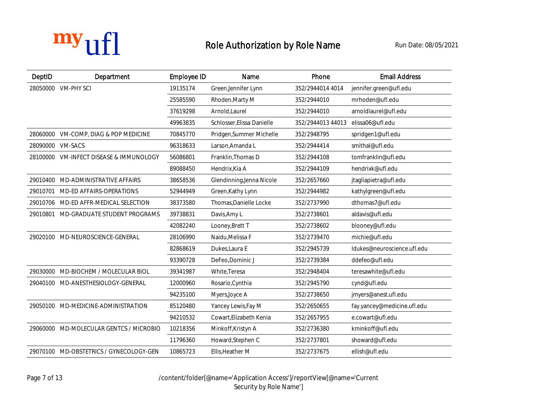| DeptID   | <b>Department</b>                         | <b>Employee ID</b> | <b>Name</b>                | Phone             | <b>Email Address</b>        |
|----------|-------------------------------------------|--------------------|----------------------------|-------------------|-----------------------------|
| 28050000 | <b>VM-PHY SCI</b>                         | 19135174           | Green, Jennifer Lynn       | 352/2944014 4014  | jennifer.green@ufl.edu      |
|          |                                           | 25585590           | Rhoden, Marty M            | 352/2944010       | mrhoden@ufl.edu             |
|          |                                           | 37619298           | Arnold, Laurel             | 352/2944010       | arnoldlaurel@ufl.edu        |
|          |                                           | 49963835           | Schlosser, Elissa Danielle | 352/2944013 44013 | elissa06@ufl.edu            |
|          | 28060000 VM-COMP, DIAG & POP MEDICINE     | 70845770           | Pridgen, Summer Michelle   | 352/2948795       | spridgen1@ufl.edu           |
|          | 28090000 VM-SACS                          | 96318633           | Larson, Amanda L           | 352/2944414       | smithal@ufl.edu             |
| 28100000 | <b>VM-INFECT DISEASE &amp; IMMUNOLOGY</b> | 56086801           | Franklin, Thomas D         | 352/2944108       | tomfranklin@ufl.edu         |
|          |                                           | 89088450           | Hendrix, Kia A             | 352/2944109       | hendrixk@ufl.edu            |
|          | 29010400 MD-ADMINISTRATIVE AFFAIRS        | 38658536           | Glendinning, Jenna Nicole  | 352/2657660       | jtagliapietra@ufl.edu       |
|          | 29010701 MD-ED AFFAIRS-OPERATIONS         | 52944949           | Green, Kathy Lynn          | 352/2944982       | kathylgreen@ufl.edu         |
| 29010706 | <b>MD-ED AFFR-MEDICAL SELECTION</b>       | 38373580           | Thomas, Danielle Locke     | 352/2737990       | dthomas7@ufl.edu            |
|          | 29010801 MD-GRADUATE STUDENT PROGRAMS     | 39738831           | Davis, Amy L               | 352/2738601       | aldavis@ufl.edu             |
|          |                                           | 42082240           | Looney, Brett T            | 352/2738602       | blooney@ufl.edu             |
|          | 29020100 MD-NEUROSCIENCE-GENERAL          | 28106990           | Naidu, Melissa F           | 352/2739470       | michie@ufl.edu              |
|          |                                           | 82868619           | Dukes, Laura E             | 352/2945739       | ldukes@neuroscience.ufl.edu |
|          |                                           | 93390728           | DeFeo,Dominic J            | 352/2739384       | ddefeo@ufl.edu              |
|          | 29030000 MD-BIOCHEM / MOLECULAR BIOL      | 39341987           | White, Teresa              | 352/2948404       | teresawhite@ufl.edu         |
|          | 29040100 MD-ANESTHESIOLOGY-GENERAL        | 12000960           | Rosario, Cynthia           | 352/2945790       | cynd@ufl.edu                |
|          |                                           | 94235100           | Myers, Joyce A             | 352/2738650       | jmyers@anest.ufl.edu        |
|          | 29050100 MD-MEDICINE-ADMINISTRATION       | 85120480           | Yancey Lewis, Fay M        | 352/2650655       | fay.yancey@medicine.ufl.edu |
|          |                                           | 94210532           | Cowart, Elizabeth Kenia    | 352/2657955       | e.cowart@ufl.edu            |
|          | 29060000 MD-MOLECULAR GENTCS / MICROBIO   | 10218356           | Minkoff, Kristyn A         | 352/2736380       | kminkoff@ufl.edu            |
|          |                                           | 11796360           | Howard, Stephen C          | 352/2737801       | showard@ufl.edu             |
|          | 29070100 MD-OBSTETRICS / GYNECOLOGY-GEN   | 10865723           | Ellis.Heather M            | 352/2737675       | ellish@ufl.edu              |

Page 7 of 13 /content/folder[@name='Application Access']/reportView[@name='Current Security by Role Name']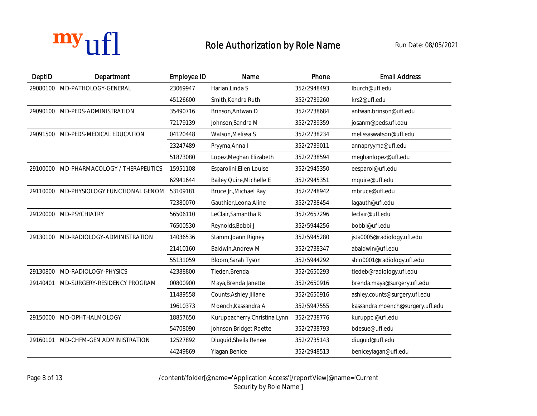| DeptID | <b>Department</b>                                | <b>Employee ID</b> | <b>Name</b>                     | Phone       | <b>Email Address</b>             |
|--------|--------------------------------------------------|--------------------|---------------------------------|-------------|----------------------------------|
|        | 29080100 MD-PATHOLOGY-GENERAL                    | 23069947           | Harlan.Linda S                  | 352/2948493 | lburch@ufl.edu                   |
|        |                                                  | 45126600           | Smith, Kendra Ruth              | 352/2739260 | krs2@ufl.edu                     |
|        | 29090100 MD-PEDS-ADMINISTRATION                  | 35490716           | Brinson, Antwan D               | 352/2738684 | antwan.brinson@ufl.edu           |
|        |                                                  | 72179139           | Johnson, Sandra M               | 352/2739359 | josanm@peds.ufl.edu              |
|        | 29091500 MD-PEDS-MEDICAL EDUCATION               | 04120448           | Watson, Melissa S               | 352/2738234 | melissaswatson@ufl.edu           |
|        |                                                  | 23247489           | Pryyma, Anna I                  | 352/2739011 | annapryyma@ufl.edu               |
|        |                                                  | 51873080           | Lopez, Meghan Elizabeth         | 352/2738594 | meghanlopez@ufl.edu              |
|        | 29100000 MD-PHARMACOLOGY / THERAPEUTICS          | 15951108           | Esparolini, Ellen Louise        | 352/2945350 | eesparol@ufl.edu                 |
|        |                                                  | 62941644           | <b>Bailey Quire, Michelle E</b> | 352/2945351 | mquire@ufl.edu                   |
|        | 29110000 MD-PHYSIOLOGY FUNCTIONAL GENOM 53109181 |                    | Bruce Jr., Michael Ray          | 352/2748942 | mbruce@ufl.edu                   |
|        |                                                  | 72380070           | Gauthier, Leona Aline           | 352/2738454 | lagauth@ufl.edu                  |
|        | 29120000 MD-PSYCHIATRY                           | 56506110           | LeClair, Samantha R             | 352/2657296 | leclair@ufl.edu                  |
|        |                                                  | 76500530           | Reynolds, Bobbi J               | 352/5944256 | bobbi@ufl.edu                    |
|        | 29130100 MD-RADIOLOGY-ADMINISTRATION             | 14036536           | Stamm, Joann Rigney             | 352/5945280 | jsta0005@radiology.ufl.edu       |
|        |                                                  | 21410160           | <b>Baldwin, Andrew M</b>        | 352/2738347 | abaldwin@ufl.edu                 |
|        |                                                  | 55131059           | Bloom, Sarah Tyson              | 352/5944292 | sblo0001@radiology.ufl.edu       |
|        | 29130800 MD-RADIOLOGY-PHYSICS                    | 42388800           | Tieden, Brenda                  | 352/2650293 | tiedeb@radiology.ufl.edu         |
|        | 29140401 MD-SURGERY-RESIDENCY PROGRAM            | 00800900           | Maya, Brenda Janette            | 352/2650916 | brenda.maya@surgery.ufl.edu      |
|        |                                                  | 11489558           | Counts, Ashley Jillane          | 352/2650916 | ashley.counts@surgery.ufl.edu    |
|        |                                                  | 19610373           | Moench, Kassandra A             | 352/5947555 | kassandra.moench@surgery.ufl.edu |
|        | 29150000 MD-OPHTHALMOLOGY                        | 18857650           | Kuruppacherry, Christina Lynn   | 352/2738776 | kuruppcl@ufl.edu                 |
|        |                                                  | 54708090           | Johnson, Bridget Roette         | 352/2738793 | bdesue@ufl.edu                   |
|        | 29160101 MD-CHFM-GEN ADMINISTRATION              | 12527892           | Diuguid, Sheila Renee           | 352/2735143 | diuguid@ufl.edu                  |
|        |                                                  | 44249869           | Ylagan, Benice                  | 352/2948513 | beniceylagan@ufl.edu             |

Page 8 of 13 /content/folder[@name='Application Access']/reportView[@name='Current Security by Role Name']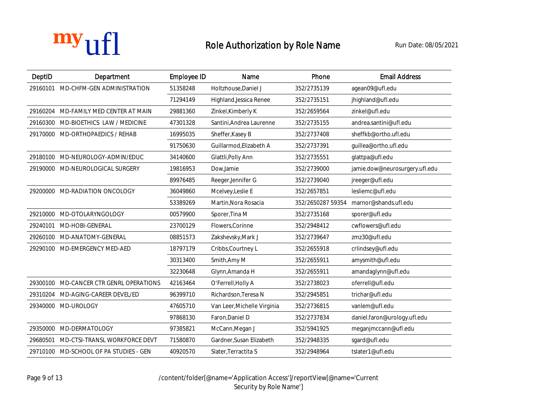| DeptID   | <b>Department</b>                       | <b>Employee ID</b> | <b>Name</b>                 | Phone             | <b>Email Address</b>           |
|----------|-----------------------------------------|--------------------|-----------------------------|-------------------|--------------------------------|
| 29160101 | <b>MD-CHFM-GEN ADMINISTRATION</b>       | 51358248           | Holtzhouse, Daniel J        | 352/2735139       | agean09@ufl.edu                |
|          |                                         | 71294149           | Highland, Jessica Renee     | 352/2735151       | jhighland@ufl.edu              |
| 29160204 | MD-FAMILY MED CENTER AT MAIN            | 29881360           | Zinkel, Kimberly K          | 352/2659564       | zinkel@ufl.edu                 |
|          | 29160300 MD-BIOETHICS LAW / MEDICINE    | 47301328           | Santini, Andrea Laurenne    | 352/2735155       | andrea.santini@ufl.edu         |
| 29170000 | <b>MD-ORTHOPAEDICS / REHAB</b>          | 16995035           | Sheffer, Kasey B            | 352/2737408       | sheffkb@ortho.ufl.edu          |
|          |                                         | 91750630           | Guillarmod, Elizabeth A     | 352/2737391       | guillea@ortho.ufl.edu          |
|          | 29180100 MD-NEUROLOGY-ADMIN/EDUC        | 34140600           | Glattli, Polly Ann          | 352/2735551       | glattpa@ufl.edu                |
| 29190000 | MD-NEUROLOGICAL SURGERY                 | 19816953           | Dow, Jamie                  | 352/2739000       | jamie.dow@neurosurgery.ufl.edu |
|          |                                         | 89976485           | Reeger, Jennifer G          | 352/2739040       | jreeger@ufl.edu                |
|          | 29200000 MD-RADIATION ONCOLOGY          | 36049860           | Mcelvey, Leslie E           | 352/2657851       | lesliemc@ufl.edu               |
|          |                                         | 53389269           | Martin.Nora Rosacia         | 352/2650287 59354 | marnor@shands.ufl.edu          |
| 29210000 | MD-OTOLARYNGOLOGY                       | 00579900           | Sporer, Tina M              | 352/2735168       | sporer@ufl.edu                 |
| 29240101 | <b>MD-HOBI-GENERAL</b>                  | 23700129           | Flowers, Corinne            | 352/2948412       | cwflowers@ufl.edu              |
|          | 29260100 MD-ANATOMY-GENERAL             | 08851573           | Zakshevsky, Mark J          | 352/2739647       | zmz30@ufl.edu                  |
| 29290100 | <b>MD-EMERGENCY MED-AED</b>             | 18797179           | Cribbs, Courtney L          | 352/2655918       | crlindsey@ufl.edu              |
|          |                                         | 30313400           | Smith, Amy M                | 352/2655911       | amysmith@ufl.edu               |
|          |                                         | 32230648           | Glynn, Amanda H             | 352/2655911       | amandaglynn@ufl.edu            |
|          | 29300100 MD-CANCER CTR GENRL OPERATIONS | 42163464           | O'Ferrell, Holly A          | 352/2738023       | oferrell@ufl.edu               |
| 29310204 | <b>MD-AGING-CAREER DEVEL/ED</b>         | 96399710           | Richardson, Teresa N        | 352/2945851       | trichar@ufl.edu                |
| 29340000 | <b>MD-UROLOGY</b>                       | 47605710           | Van Leer, Michelle Virginia | 352/2736815       | vanlem@ufl.edu                 |
|          |                                         | 97868130           | Faron, Daniel D             | 352/2737834       | daniel.faron@urology.ufl.edu   |
| 29350000 | MD-DERMATOLOGY                          | 97385821           | McCann, Megan J             | 352/5941925       | meganjmccann@ufl.edu           |
| 29680501 | MD-CTSI-TRANSL WORKFORCE DEVT           | 71580870           | Gardner, Susan Elizabeth    | 352/2948335       | sgard@ufl.edu                  |
|          | 29710100 MD-SCHOOL OF PA STUDIES - GEN  | 40920570           | Slater, Terractita S        | 352/2948964       | tslater1@ufl.edu               |

Page 9 of 13 /content/folder[@name='Application Access']/reportView[@name='Current Security by Role Name']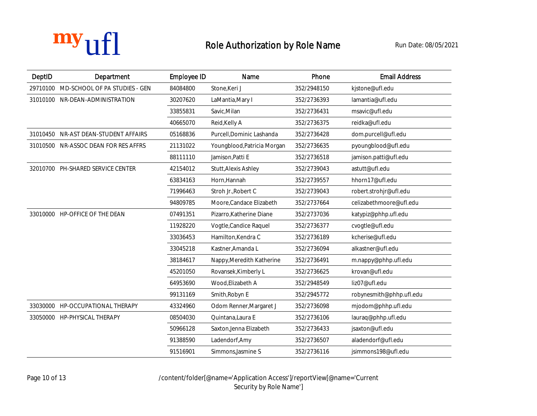

| DeptID   | <b>Department</b>                    | <b>Employee ID</b> | <b>Name</b>                 | Phone       | <b>Email Address</b>     |
|----------|--------------------------------------|--------------------|-----------------------------|-------------|--------------------------|
| 29710100 | MD-SCHOOL OF PA STUDIES - GEN        | 84084800           | Stone, Keri J               | 352/2948150 | kjstone@ufl.edu          |
|          | 31010100 NR-DEAN-ADMINISTRATION      | 30207620           | LaMantia, Mary I            | 352/2736393 | lamantia@ufl.edu         |
|          |                                      | 33855831           | Savic, Milan                | 352/2736431 | msavic@ufl.edu           |
|          |                                      | 40665070           | Reid, Kelly A               | 352/2736375 | reidka@ufl.edu           |
|          | 31010450 NR-AST DEAN-STUDENT AFFAIRS | 05168836           | Purcell, Dominic Lashanda   | 352/2736428 | dom.purcell@ufl.edu      |
|          | 31010500 NR-ASSOC DEAN FOR RES AFFRS | 21131022           | Youngblood, Patricia Morgan | 352/2736635 | pyoungblood@ufl.edu      |
|          |                                      | 88111110           | Jamison, Patti E            | 352/2736518 | jamison.patti@ufl.edu    |
|          | 32010700 PH-SHARED SERVICE CENTER    | 42154012           | <b>Stutt, Alexis Ashley</b> | 352/2739043 | astutt@ufl.edu           |
|          |                                      | 63834163           | Horn, Hannah                | 352/2739557 | hhorn17@ufl.edu          |
|          |                                      | 71996463           | Stroh Jr., Robert C         | 352/2739043 | robert.strohjr@ufl.edu   |
|          |                                      | 94809785           | Moore, Candace Elizabeth    | 352/2737664 | celizabethmoore@ufl.edu  |
|          | 33010000 HP-OFFICE OF THE DEAN       | 07491351           | Pizarro, Katherine Diane    | 352/2737036 | katypiz@phhp.ufl.edu     |
|          |                                      | 11928220           | Vogtle, Candice Raquel      | 352/2736377 | cvogtle@ufl.edu          |
|          |                                      | 33036453           | Hamilton, Kendra C          | 352/2736189 | kcherise@ufl.edu         |
|          |                                      | 33045218           | Kastner, Amanda L           | 352/2736094 | alkastner@ufl.edu        |
|          |                                      | 38184617           | Nappy, Meredith Katherine   | 352/2736491 | m.nappy@phhp.ufl.edu     |
|          |                                      | 45201050           | Rovansek, Kimberly L        | 352/2736625 | krovan@ufl.edu           |
|          |                                      | 64953690           | Wood, Elizabeth A           | 352/2948549 | liz07@ufl.edu            |
|          |                                      | 99131169           | Smith, Robyn E              | 352/2945772 | robynesmith@phhp.ufl.edu |
| 33030000 | HP-OCCUPATIONAL THERAPY              | 43324960           | Odom Renner, Margaret J     | 352/2736098 | mjodom@phhp.ufl.edu      |
| 33050000 | HP-PHYSICAL THERAPY                  | 08504030           | Quintana, Laura E           | 352/2736106 | lauraq@phhp.ufl.edu      |
|          |                                      | 50966128           | Saxton, Jenna Elizabeth     | 352/2736433 | jsaxton@ufl.edu          |
|          |                                      | 91388590           | Ladendorf, Amy              | 352/2736507 | aladendorf@ufl.edu       |
|          |                                      | 91516901           | Simmons.Jasmine S           | 352/2736116 | jsimmons198@ufl.edu      |

Page 10 of 13 /content/folder[@name='Application Access']/reportView[@name='Current Security by Role Name']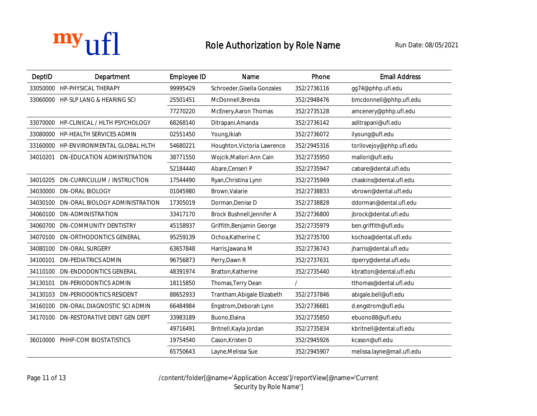

| DeptID   | <b>Department</b>                      | <b>Employee ID</b> | <b>Name</b>                 | Phone       | <b>Email Address</b>       |
|----------|----------------------------------------|--------------------|-----------------------------|-------------|----------------------------|
| 33050000 | HP-PHYSICAL THERAPY                    | 99995429           | Schroeder, Gisella Gonzales | 352/2736116 | gg74@phhp.ufl.edu          |
|          | 33060000 HP-SLP LANG & HEARING SCI     | 25501451           | McDonnell, Brenda           | 352/2948476 | bmcdonnell@phhp.ufl.edu    |
|          |                                        | 77270220           | McEnery, Aaron Thomas       | 352/2735128 | amcenery@phhp.ufl.edu      |
|          | 33070000 HP-CLINICAL / HLTH PSYCHOLOGY | 68268140           | Ditrapani, Amanda           | 352/2736142 | aditrapani@ufl.edu         |
| 33080000 | HP-HEALTH SERVICES ADMIN               | 02551450           | Young, Ikiah                | 352/2736072 | ilyoung@ufl.edu            |
|          | 33160000 HP-ENVIRONMENTAL GLOBAL HLTH  | 54680221           | Houghton, Victoria Lawrence | 352/2945316 | torilovejoy@phhp.ufl.edu   |
| 34010201 | <b>DN-EDUCATION ADMINISTRATION</b>     | 38771550           | Wojcik, Mallori Ann Cain    | 352/2735950 | mallori@ufl.edu            |
|          |                                        | 52184440           | Abare, Censeri P            | 352/2735947 | cabare@dental.ufl.edu      |
| 34010205 | DN-CURRICULUM / INSTRUCTION            | 17544490           | Ryan, Christina Lynn        | 352/2735949 | chaskins@dental.ufl.edu    |
| 34030000 | <b>DN-ORAL BIOLOGY</b>                 | 01045980           | Brown, Valarie              | 352/2738833 | vbrown@dental.ufl.edu      |
| 34030100 | DN-ORAL BIOLOGY ADMINISTRATION         | 17305019           | Dorman, Denise D            | 352/2738828 | ddorman@dental.ufl.edu     |
|          | 34060100 DN-ADMINISTRATION             | 33417170           | Brock Bushnell, Jennifer A  | 352/2736800 | jbrock@dental.ufl.edu      |
| 34060700 | <b>DN-COMMUNITY DENTISTRY</b>          | 45158937           | Griffith, Benjamin George   | 352/2735979 | ben.griffith@ufl.edu       |
| 34070100 | <b>DN-ORTHODONTICS GENERAL</b>         | 95259139           | Ochoa, Katherine C          | 352/2735700 | kochoa@dental.ufl.edu      |
| 34080100 | <b>DN-ORAL SURGERY</b>                 | 63657848           | Harris.Jawana M             | 352/2736743 | jharris@dental.ufl.edu     |
|          | 34100101 DN-PEDIATRICS ADMIN           | 96756873           | Perry, Dawn R               | 352/2737631 | dperry@dental.ufl.edu      |
| 34110100 | <b>DN-ENDODONTICS GENERAL</b>          | 48391974           | Bratton, Katherine          | 352/2735440 | kbratton@dental.ufl.edu    |
| 34130101 | <b>DN-PERIODONTICS ADMIN</b>           | 18115850           | Thomas, Terry Dean          |             | tthomas@dental.ufl.edu     |
| 34130103 | <b>DN-PERIODONTICS RESIDENT</b>        | 88652933           | Trantham, Abigale Elizabeth | 352/2737846 | abigale.bell@ufl.edu       |
| 34160100 | DN-ORAL DIAGNOSTIC SCI ADMIN           | 66484984           | Engstrom, Deborah Lynn      | 352/2736681 | d.engstrom@ufl.edu         |
| 34170100 | <b>DN-RESTORATIVE DENT GEN DEPT</b>    | 33983189           | Buono, Elaina               | 352/2735850 | ebuono88@ufl.edu           |
|          |                                        | 49716491           | Britnell, Kayla Jordan      | 352/2735834 | kbritnell@dental.ufl.edu   |
| 36010000 | PHHP-COM BIOSTATISTICS                 | 19754540           | Cason, Kristen D            | 352/2945926 | kcason@ufl.edu             |
|          |                                        | 65750643           | Layne, Melissa Sue          | 352/2945907 | melissa.layne@mail.ufl.edu |

Page 11 of 13 /content/folder[@name='Application Access']/reportView[@name='Current Security by Role Name<sup>'</sup>]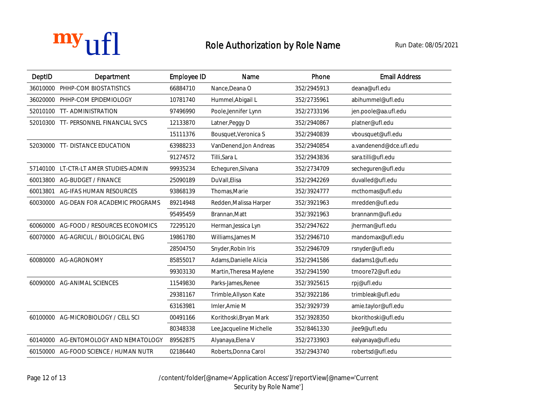

| DeptID   | <b>Department</b>                     | <b>Employee ID</b> | <b>Name</b>              | Phone       | <b>Email Address</b>    |
|----------|---------------------------------------|--------------------|--------------------------|-------------|-------------------------|
|          | 36010000 PHHP-COM BIOSTATISTICS       | 66884710           | Nance, Deana O           | 352/2945913 | deana@ufl.edu           |
|          | 36020000 PHHP-COM EPIDEMIOLOGY        | 10781740           | Hummel, Abigail L        | 352/2735961 | abihummel@ufl.edu       |
|          | 52010100 TT- ADMINISTRATION           | 97496990           | Poole, Jennifer Lynn     | 352/2733196 | jen.poole@aa.ufl.edu    |
|          | 52010300 TT- PERSONNEL FINANCIAL SVCS | 12133870           | Latner, Peggy D          | 352/2940867 | platner@ufl.edu         |
|          |                                       | 15111376           | Bousquet, Veronica S     | 352/2940839 | vbousquet@ufl.edu       |
|          | 52030000 TT- DISTANCE EDUCATION       | 63988233           | VanDenend, Jon Andreas   | 352/2940854 | a.vandenend@dce.ufl.edu |
|          |                                       | 91274572           | Tilli, Sara L            | 352/2943836 | sara.tilli@ufl.edu      |
|          | 57140100 LT-CTR-LT AMER STUDIES-ADMIN | 99935234           | Echeguren, Silvana       | 352/2734709 | secheguren@ufl.edu      |
| 60013800 | <b>AG-BUDGET / FINANCE</b>            | 25090189           | DuVall, Elisa            | 352/2942269 | duvalled@ufl.edu        |
|          | 60013801 AG-IFAS HUMAN RESOURCES      | 93868139           | Thomas, Marie            | 352/3924777 | mcthomas@ufl.edu        |
| 60030000 | <b>AG-DEAN FOR ACADEMIC PROGRAMS</b>  | 89214948           | Redden, Malissa Harper   | 352/3921963 | mredden@ufl.edu         |
|          |                                       | 95495459           | Brannan, Matt            | 352/3921963 | brannanm@ufl.edu        |
| 60060000 | <b>AG-FOOD / RESOURCES ECONOMICS</b>  | 72295120           | Herman, Jessica Lyn      | 352/2947622 | jherman@ufl.edu         |
|          | 60070000 AG-AGRICUL / BIOLOGICAL ENG  | 19861780           | Williams, James M        | 352/2946710 | mandomax@ufl.edu        |
|          |                                       | 28504750           | Snyder, Robin Iris       | 352/2946709 | rsnyder@ufl.edu         |
|          | 60080000 AG-AGRONOMY                  | 85855017           | Adams, Danielle Alicia   | 352/2941586 | dadams1@ufl.edu         |
|          |                                       | 99303130           | Martin, Theresa Maylene  | 352/2941590 | tmoore72@ufl.edu        |
|          | 60090000 AG-ANIMAL SCIENCES           | 11549830           | Parks-James, Renee       | 352/3925615 | rpj@ufl.edu             |
|          |                                       | 29381167           | Trimble, Allyson Kate    | 352/3922186 | trimbleak@ufl.edu       |
|          |                                       | 63163981           | Imler, Amie M            | 352/3929739 | amie.taylor@ufl.edu     |
|          | 60100000 AG-MICROBIOLOGY / CELL SCI   | 00491166           | Korithoski, Bryan Mark   | 352/3928350 | bkorithoski@ufl.edu     |
|          |                                       | 80348338           | Lee, Jacqueline Michelle | 352/8461330 | jlee9@ufl.edu           |
| 60140000 | <b>AG-ENTOMOLOGY AND NEMATOLOGY</b>   | 89562875           | Alyanaya, Elena V        | 352/2733903 | ealyanaya@ufl.edu       |
| 60150000 | <b>AG-FOOD SCIENCE / HUMAN NUTR</b>   | 02186440           | Roberts, Donna Carol     | 352/2943740 | robertsd@ufl.edu        |

Page 12 of 13 /content/folder[@name='Application Access']/reportView[@name='Current Security by Role Name<sup>'</sup>]